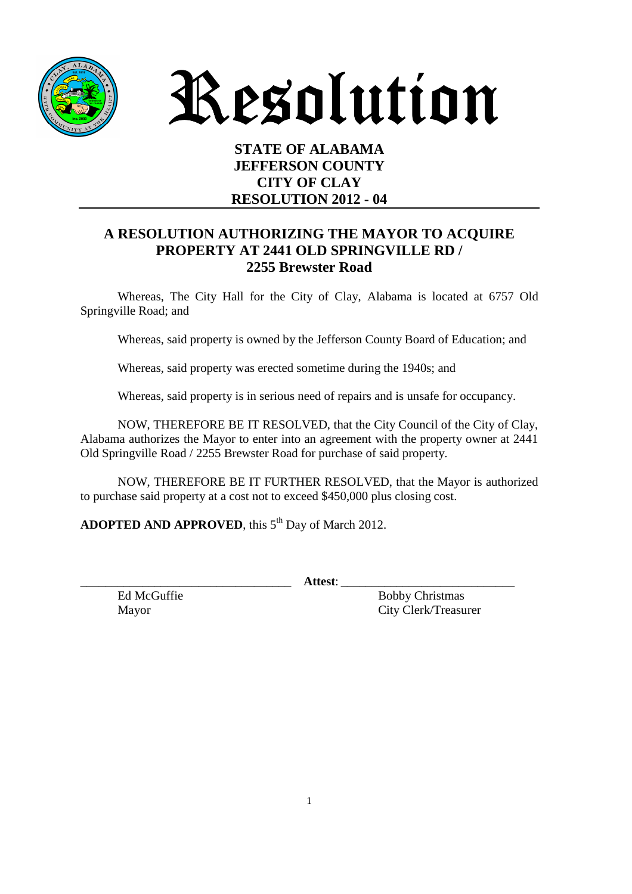

Resolution

## **STATE OF ALABAMA JEFFERSON COUNTY CITY OF CLAY RESOLUTION 2012 - 04**

## **A RESOLUTION AUTHORIZING THE MAYOR TO ACQUIRE PROPERTY AT 2441 OLD SPRINGVILLE RD / 2255 Brewster Road**

 Whereas, The City Hall for the City of Clay, Alabama is located at 6757 Old Springville Road; and

Whereas, said property is owned by the Jefferson County Board of Education; and

Whereas, said property was erected sometime during the 1940s; and

Whereas, said property is in serious need of repairs and is unsafe for occupancy.

 NOW, THEREFORE BE IT RESOLVED, that the City Council of the City of Clay, Alabama authorizes the Mayor to enter into an agreement with the property owner at 2441 Old Springville Road / 2255 Brewster Road for purchase of said property.

 NOW, THEREFORE BE IT FURTHER RESOLVED, that the Mayor is authorized to purchase said property at a cost not to exceed \$450,000 plus closing cost.

**ADOPTED AND APPROVED**, this 5<sup>th</sup> Day of March 2012.

\_\_\_\_\_\_\_\_\_\_\_\_\_\_\_\_\_\_\_\_\_\_\_\_\_\_\_\_\_\_\_\_\_\_ **Attest**: \_\_\_\_\_\_\_\_\_\_\_\_\_\_\_\_\_\_\_\_\_\_\_\_\_\_\_\_

Ed McGuffie Bobby Christmas Mayor City Clerk/Treasurer